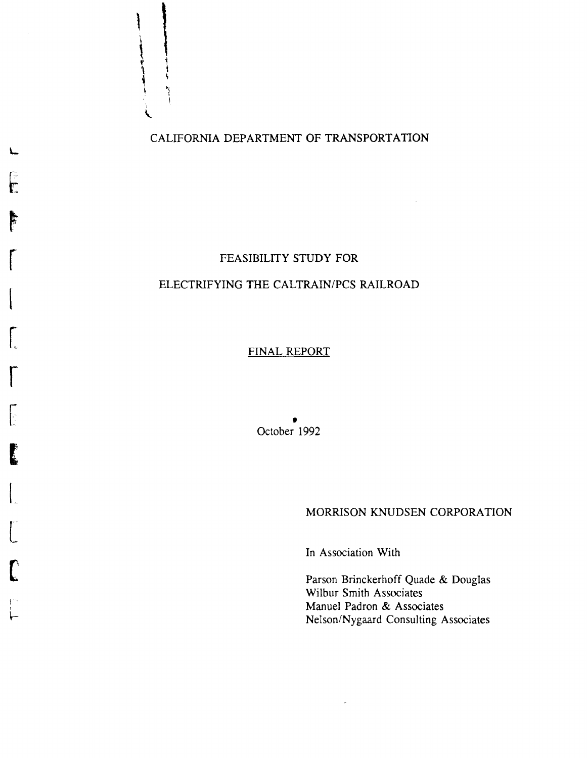CALIFORNIA DEPARTMENT OF TRANSPORTATION

L

,

 $\frac{1}{2}$ 

;  $\ddot{\phantom{0}}$ 

f-: r:

È

r

 $\left\lceil \frac{1}{2} \right\rceil$ 

r I~

r

 $\left| \cdot \right|$ 

1

 $\vert$ 

 $\begin{bmatrix} 1 & 1 \\ 1 & 1 \end{bmatrix}$ 

(

I I  $\vdash$ 

### FEASIBILITY STUDY FOR

#### ELECTRIFYING THE CALTRAIN/PCS RAILROAD

#### FINAL REPORT

• October 1992

#### MORRISON KNUDSEN CORPORATION

In Association With

 $\bar{\mathcal{A}}$ 

Parson Brinckerhoff Quade & Douglas Wilbur Smith Associates Manuel Padron & Associates Nelson/Nygaard Consulting Associates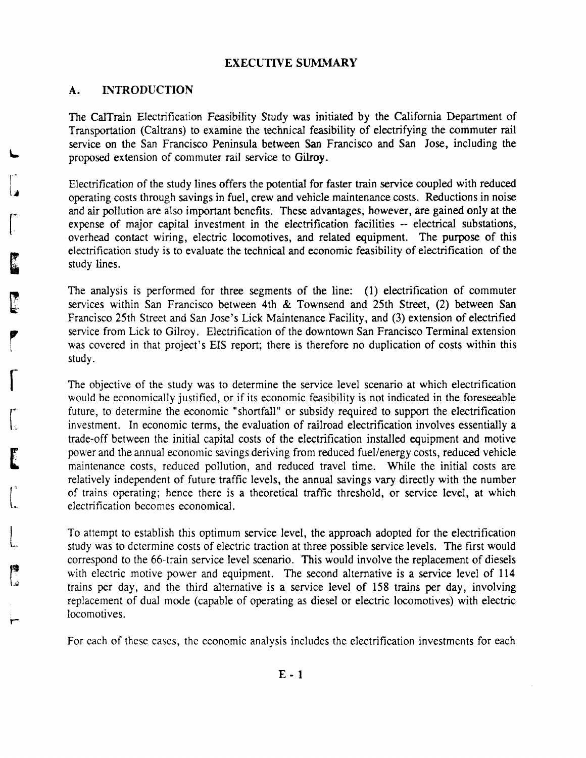#### **EXECUTIVE** SUMMARY

#### A. **INTRODUCTION**

 $\sqrt{ }$ 

 $\int_{\mathbb{R}}$ 

[

 $\int_{-\infty}^{\infty}$ 

 $\begin{bmatrix} \phantom{-} \end{bmatrix}$ 

**Lis**<br>Le

The CalTrain Electrification Feasibility Study was initiated by the California Department of Transportation (Caltrans) to examine the technical feasibility of electrifying the commuter rail service on the San Francisco Peninsula between San Francisco and San Jose, including the proposed extension of commuter rail service to Gilroy.

Electrification of the study lines offers the potential for faster train service coupled with reduced operating costs through savings in fuel, crew and vehicle maintenance costs. Reductions in noise and air pollution are also important benefits. These advantages, however, are gained only at the expense of major capital investment in the electrification facilities -- electrical substations, overhead contact wiring, electric locomotives, and related equipment. The purpose of this electrification study is to evaluate the technical and economic feasibility of electrification of the study lines.

The analysis is performed for three segments of the line: (1) electrification of commuter services within San Francisco between 4th & Townsend and 25th Street, (2) between San Francisco 25th Street and San Jose's Lick Maintenance Facility, and (3) extension of electrified service from Lick to Gilroy. Electrification of the downtown San Francisco Terminal extension was covered in that project's EIS report; there is therefore no duplication of costs within this study.

The objective of the study was to determine the service level scenario at which electrification would be economically justified, or if its economic feasibility is not indicated in the foreseeable future, to determine the economic "shortfall" or subsidy required to support the electrification investment. In economic terms, the evaluation of railroad electrification involves essentially a trade-off between the initial capital costs of the electrification installed equipment and motive power and the annual economic savings deriving from reduced fuel/energy costs, reduced vehicle maintenance costs, reduced pollution, and reduced travel time. While the initial costs are relatively independent of future traffic levels, the annual savings vary directly with the number of trains operating; hence there is a theoretical traffic threshold, or service level, at which electrification becomes economical.

To attempt to establish this optimum service level, the approach adopted for the electrification study was to determine costs of electric traction at three possible service levels. The first would correspond to the 66-train service level scenario. This would involve the replacement of diesels with electric motive power and equipment. The second alternative is a service level of 114 trains per day, and the third alternative is a service level of 158 trains per day, involving replacement of dual mode (capable of operating as diesel or electric locomotives) with electric locomotives.

For each of these cases, the economic analysis includes the electrification investments for each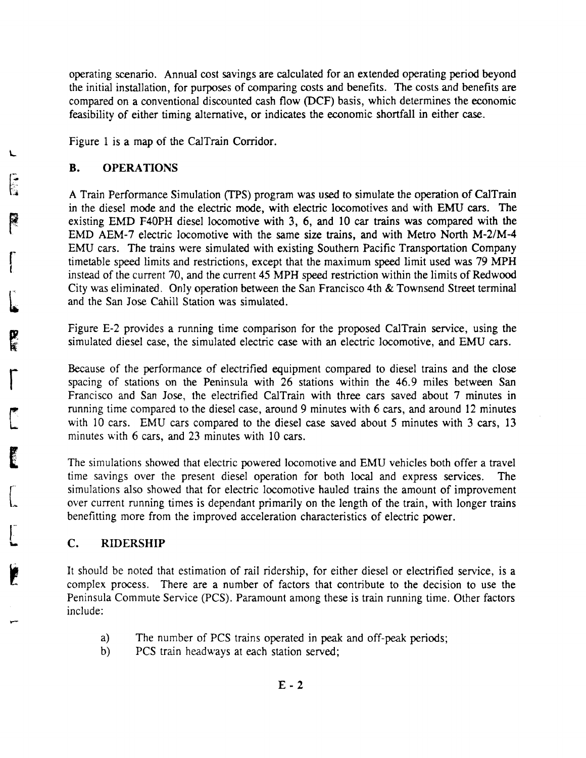operating scenario. Annual cost savings are calculated for an extended operating period beyond the initial installation, for purposes of comparing costs and benefits. The costs and benefits are compared on a conventional discounted cash flow (DCF) basis, which determines the economic feasibility of either timing alternative, or indicates the economic shortfall in either case.

Figure 1 is a map of the CalTrain Corridor.

#### B. OPERATIONS

A Train Performance Simulation (TPS) program was used to simulate the operation of CalTrain in the diesel mode and the electric mode, with electric locomotives and with EMU cars. The existing EMD F40PH diesel locomotive with 3, 6, and 10 car trains was compared with the EMD AEM-7 electric locomotive with the same size trains, and with Metro North M-2/M-4 EMU cars. The trains were simulated with existing Southern Pacific Transportation Company timetable speed limits and restrictions, except that the maximum speed limit used was 79 MPH instead of the current 70, and the current 45 MPH speed restriction within the limits of Redwood City was eliminated. Only operation between the San Francisco 4th & Townsend Street terminal and the San Jose Cahill Station was simulated.

Figure E-2 provides a running time comparison for the proposed CalTrain service, using the simulated diesel case, the simulated electric case with an electric locomotive, and EMU cars.

Because of the performance of electrified equipment compared to diesel trains and the close spacing of stations on the Peninsula with 26 stations within the 46.9 miles between San Francisco and San Jose, the electrified CalTrain with three cars saved about 7 minutes in running time compared to the diesel case, around 9 minutes with 6 cars, and around 12 minutes with 10 cars. EMU cars compared to the diesel case saved about 5 minutes with 3 cars, 13 minutes with 6 cars, and 23 minutes with 10 cars.

The simulations showed that electric powered locomotive and EMU vehicles both offer a travel time savings over the present diesel operation for both local and express services. The simulations also showed that for electric locomotive hauled trains the amount of improvement over current running times is dependant primarily on the length of the train, with longer trains benefitting more from the improved acceleration characteristics of electric power.

#### c. RIDERSHIP

It should be noted that estimation of rail ridership, for either diesel or electrified service, is a complex process. There are a number of factors that contribute to the decision to use the Peninsula Commute Service (PCS). Paramount among these is train running time. Other factors include:

- a) The number of PCS trains operated in peak and off-peak periods;
- b) PCS train headways at each station served;

L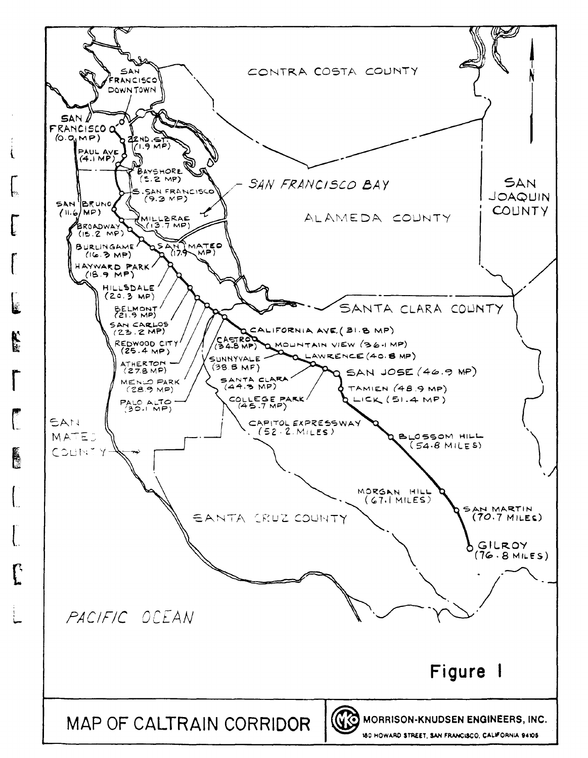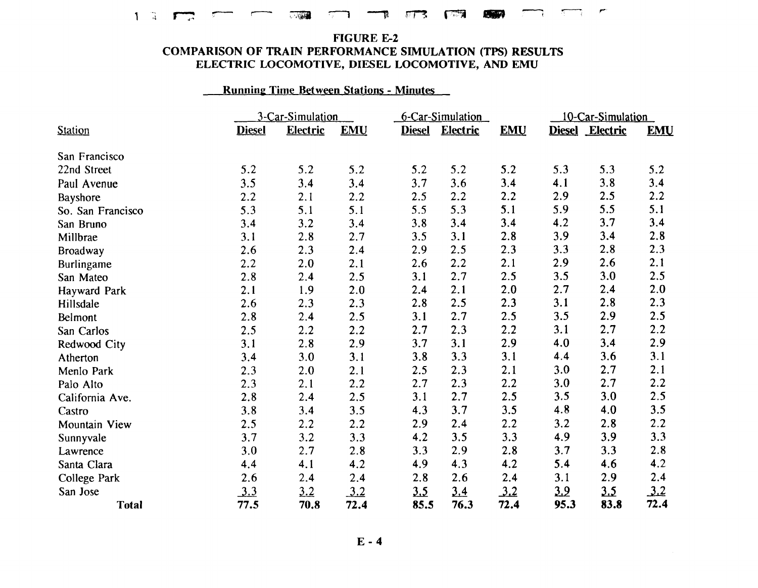# $\overline{1}$  .  $\overline{1}$  ,  $\overline{1}$  ,  $\overline{1}$  ,  $\overline{1}$  ,  $\overline{1}$  ,  $\overline{1}$  ,  $\overline{1}$  ,  $\overline{1}$  ,  $\overline{1}$  ,  $\overline{1}$  ,  $\overline{1}$  ,  $\overline{1}$  ,  $\overline{1}$  ,  $\overline{1}$  ,  $\overline{1}$  ,  $\overline{1}$  ,  $\overline{1}$  ,  $\overline{1}$  ,  $\overline{1}$  ,

#### FIGURE E-2 COMPARISON OF TRAIN PERFORMANCE SIMULATION (TPS) RESULTS ELECTRIC LOCOMOTIVE, DIESEL LOCOMOTIVE, AND EMU

#### Running Time Between Stations - Minutes

|                      |               | 3-Car-Simulation |            |               | 6-Car-Simulation |            | 10-Car-Simulation |                 |            |
|----------------------|---------------|------------------|------------|---------------|------------------|------------|-------------------|-----------------|------------|
| <b>Station</b>       | <b>Diesel</b> | <b>Electric</b>  | <b>EMU</b> | <b>Diesel</b> | Electric         | <b>EMU</b> |                   | Diesel Electric | <b>EMU</b> |
| San Francisco        |               |                  |            |               |                  |            |                   |                 |            |
| 22nd Street          | 5.2           | 5.2              | 5.2        | 5.2           | 5.2              | 5.2        | 5.3               | 5.3             | 5.2        |
| Paul Avenue          | 3.5           | 3.4              | 3.4        | 3.7           | 3.6              | 3.4        | 4.1               | 3.8             | 3.4        |
| Bayshore             | 2.2           | 2.1              | 2.2        | 2.5           | 2.2              | 2.2        | 2.9               | 2.5             | 2.2        |
| So. San Francisco    | 5.3           | 5.1              | 5.1        | 5.5           | 5.3              | 5.1        | 5.9               | 5.5             | 5.1        |
| San Bruno            | 3.4           | 3.2              | 3.4        | 3.8           | 3.4              | 3.4        | 4.2               | 3.7             | 3.4        |
| Millbrae             | 3.1           | 2.8              | 2.7        | 3.5           | 3.1              | 2.8        | 3.9               | 3.4             | 2.8        |
| <b>Broadway</b>      | 2.6           | 2.3              | 2.4        | 2.9           | 2.5              | 2.3        | 3.3               | 2.8             | 2.3        |
| Burlingame           | 2.2           | 2.0              | 2.1        | 2.6           | 2.2              | 2.1        | 2.9               | 2.6             | 2.1        |
| San Mateo            | 2.8           | 2.4              | 2.5        | 3.1           | 2.7              | 2.5        | 3.5               | 3.0             | 2.5        |
| Hayward Park         | 2.1           | 1.9              | 2.0        | 2.4           | 2.1              | 2.0        | 2.7               | 2.4             | 2.0        |
| Hillsdale            | 2.6           | 2.3              | 2.3        | 2.8           | 2.5              | 2.3        | 3.1               | 2.8             | 2.3        |
| Belmont              | 2.8           | 2.4              | 2.5        | 3.1           | 2.7              | 2.5        | 3.5               | 2.9             | 2.5        |
| San Carlos           | 2.5           | 2.2              | 2.2        | 2.7           | 2.3              | 2.2        | 3.1               | 2.7             | 2.2        |
| Redwood City         | 3.1           | 2.8              | 2.9        | 3.7           | 3.1              | 2.9        | 4.0               | 3.4             | 2.9        |
| Atherton             | 3.4           | 3.0              | 3.1        | 3.8           | 3.3              | 3.1        | 4.4               | 3.6             | 3.1        |
| Menlo Park           | 2.3           | 2.0              | 2.1        | 2.5           | 2.3              | 2.1        | 3.0               | 2.7             | 2.1        |
| Palo Alto            | 2.3           | 2.1              | 2.2        | 2.7           | 2.3              | 2.2        | 3.0               | 2.7             | 2.2        |
| California Ave.      | 2.8           | 2.4              | 2.5        | 3.1           | 2.7              | 2.5        | 3.5               | 3.0             | 2.5        |
| Castro               | 3.8           | 3.4              | 3.5        | 4.3           | 3.7              | 3.5        | 4.8               | 4.0             | 3.5        |
| <b>Mountain View</b> | 2.5           | 2.2              | 2.2        | 2.9           | 2.4              | 2.2        | 3.2               | 2.8             | 2.2        |
| Sunnyvale            | 3.7           | 3.2              | 3.3        | 4.2           | 3.5              | 3.3        | 4.9               | 3.9             | 3.3        |
| Lawrence             | 3.0           | 2.7              | 2.8        | 3.3           | 2.9              | 2.8        | 3.7               | 3.3             | 2.8        |
| Santa Clara          | 4.4           | 4.1              | 4.2        | 4.9           | 4.3              | 4.2        | 5.4               | 4.6             | 4.2        |
| College Park         | 2.6           | 2.4              | 2.4        | 2.8           | 2.6              | 2.4        | 3.1               | 2.9             | 2.4        |
| San Jose             | <u>3.3</u>    | 3.2              | <u>3.2</u> | 3.5           | 3.4              | 3.2        | <u>3.9</u>        | <u>3.5</u>      | 3.2        |
| <b>Total</b>         | 77.5          | 70.8             | 72.4       | 85.5          | 76.3             | 72.4       | 95.3              | 83.8            | 72.4       |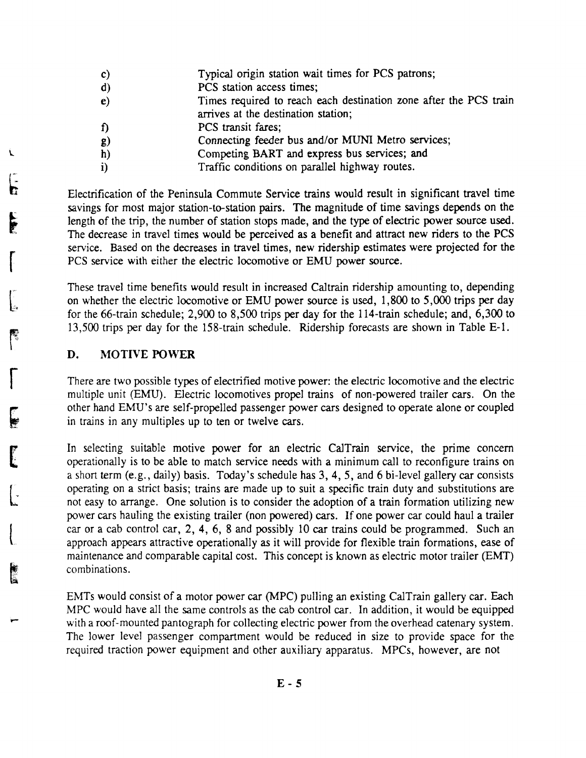- Typical origin station wait times for PCS patrons; c)
- PCS station access times; d)
- Times required to reach each destination zone after the PCS train arrives at the destination station; e)
- PCS transit fares; f)
- Connecting feeder bus and/or MUNI Metro services; g)
- Competing BART and express bus services; and h)
- Traffic conditions on parallel highway routes. i)

Electrification of the Peninsula Commute Service trains would result in significant travel time savings for most major station-to-station pairs. The magnitude of time savings depends on the length of the trip, the number of station stops made, and the type of electric power source used. The decrease in travel times would be perceived as a benefit and attract new riders to the PCS service. Based on the decreases in travel times, new ridership estimates were projected for the PCS service with either the electric locomotive or EMU power source.

These travel time benefits would result in increased Caltrain ridership amounting to, depending on whether the electric locomotive or EMU power source is used, 1,800 to 5,000 trips per day for the 66-train schedule; 2,900 to 8,500 trips per day for the 114-train schedule; and, 6,300 to 13,500 trips per day for the 158-train schedule. Ridership forecasts are shown in Table E-1.

#### D. MOTIVE POWER

There are two possible types of electrified motive power: the electric locomotive and the electric multiple unit (EMU). Electric locomotives propel trains of non-powered trailer cars. On the other hand EMU's are self-propelled passenger power cars designed to operate alone or coupled in trains in any multiples up to ten or twelve cars.

In selecting suitable motive power for an electric CalTrain service, the prime concern operationally is to be able to match service needs with a minimum call to reconfigure trains on a short term (e.g., daily) basis. Today's schedule has 3,4,5, and 6 bi-Ievel gallery car consists operating on a strict basis; trains are made up to suit a specific train duty and substitutions are not easy to arrange. One solution is to consider the adoption of a train formation utilizing new power cars hauling the existing trailer (non powered) cars. If one power car could haul a trailer car or a cab control car, 2, 4, 6, 8 and possibly 10 car trains could be programmed. Such an approach appears attractive operationally as it will provide for flexible train formations, ease of maintenance and comparable capital cost. This concept is known as electric motor trailer (EMT) combinations.

EMTs would consist of a motor power car (MPC) pulling an existing CalTrain gallery car. Each MPC would have all the same controls as the cab control car. In addition, it would be equipped with a roof-mounted pantograph for collecting electric power from the overhead catenary system. The lower level passenger compartment would be reduced in size to provide space for the required traction power equipment and other auxiliary apparatus. MPCs, however, are not

 $\mathcal{L}$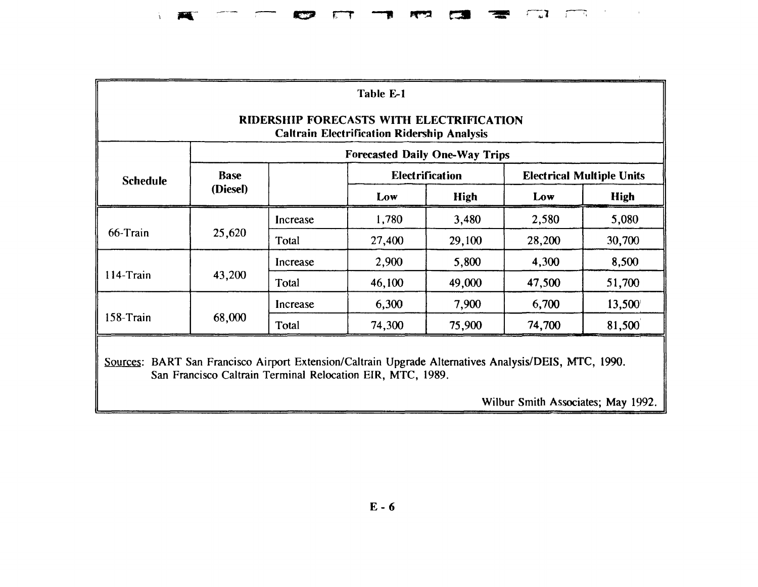## JI/iIl- ., r-r ...,. **eo=- \_** ;-,~1 "

| Table E-1                                                                                                                                                           |             |          |        |                        |                                  |             |  |  |  |
|---------------------------------------------------------------------------------------------------------------------------------------------------------------------|-------------|----------|--------|------------------------|----------------------------------|-------------|--|--|--|
| RIDERSHIP FORECASTS WITH ELECTRIFICATION<br><b>Caltrain Electrification Ridership Analysis</b>                                                                      |             |          |        |                        |                                  |             |  |  |  |
| <b>Forecasted Daily One-Way Trips</b>                                                                                                                               |             |          |        |                        |                                  |             |  |  |  |
| <b>Schedule</b>                                                                                                                                                     | <b>Base</b> |          |        | <b>Electrification</b> | <b>Electrical Multiple Units</b> |             |  |  |  |
|                                                                                                                                                                     | (Diesel)    |          | Low    | <b>High</b>            | Low                              | <b>High</b> |  |  |  |
|                                                                                                                                                                     | Increase    | 1,780    | 3,480  | 2,580                  | 5,080                            |             |  |  |  |
| 66-Train                                                                                                                                                            | 25,620      | Total    | 27,400 | 29,100                 | 28,200                           | 30,700      |  |  |  |
|                                                                                                                                                                     |             | Increase | 2,900  | 5,800                  | 4,300                            | 8,500       |  |  |  |
| 114-Train                                                                                                                                                           | 43,200      | Total    | 46,100 | 49,000                 | 47,500                           | 51,700      |  |  |  |
|                                                                                                                                                                     |             | Increase | 6,300  | 7,900                  | 6,700                            | 13,500      |  |  |  |
| 158-Train                                                                                                                                                           | 68,000      | Total    | 74,300 | 75,900                 | 74,700                           | 81,500      |  |  |  |
| Sources: BART San Francisco Airport Extension/Caltrain Upgrade Alternatives Analysis/DEIS, MTC, 1990.<br>San Francisco Caltrain Terminal Relocation EIR, MTC, 1989. |             |          |        |                        |                                  |             |  |  |  |

Wilbur Smith Associates; May 1992.

 $\bar{\alpha}$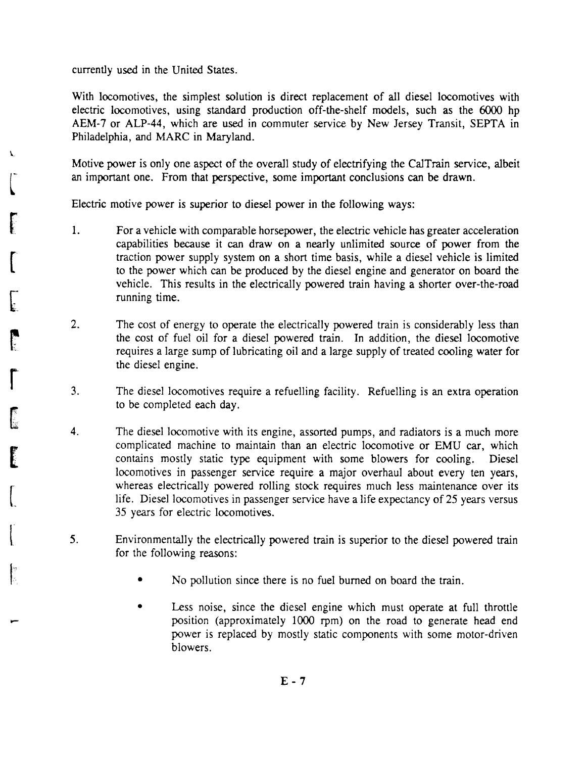currently used in the United States.

 $[$ 

À.

**FEE** 

[

l.

Ŀ

 $\int_0^{\infty}$ 

6

**PERSONAL PROPERTY** 

 $\lfloor$ 

 $\left(\begin{array}{c} 1 \ 1 \end{array}\right)$ 

:'

With locomotives, the simplest solution is direct replacement of all diesel locomotives with electric locomotives, using standard production off-the-shelf models, such as the 6000 hp AEM-7 or ALP-44, which are used in commuter service by New Jersey Transit, SEPTA in Philadelphia, and MARC in Maryland.

Motive power is only one aspect of the overall study of electrifying the CalTrain service, albeit an important one. From that perspective, some important conclusions can be drawn.

Electric motive power is superior to diesel power in the following ways:

- 1. For a vehicle with comparable horsepower, the electric vehicle has greater acceleration capabilities because it can draw on a nearly unlimited source of power from the traction power supply system on a short time basis, while a diesel vehicle is limited to the power which can be produced by the diesel engine and generator on board the vehicle. This results in the electrically powered train having a shorter over-the-road running time.
- 2. The cost of energy to operate the electrically powered train is considerably less than the cost of fuel oil for a diesel powered train. In addition, the diesel locomotive requires a large sump of lubricating oil and a large supply of treated cooling water for the diesel engine.
- 3. The diesel locomotives require a refuelling facility. Refuelling is an extra operation to be completed each day.
- 4. The diesel locomotive with its engine, assorted pumps, and radiators is a much more complicated machine to maintain than an electric locomotive or EMU car, which contains mostly static type equipment with some blowers for cooling. Diesel locomotives in passenger service require a major overhaul about every ten years, whereas electrically powered rolling stock requires much less maintenance over its life. Diesel locomotives in passenger service have a life expectancy of 25 years versus 35 years for electric locomotives.
- 5. Environmentally the electrically powered train is superior to the diesel powered train for the following reasons:
	- No pollution since there is no fuel burned on board the train.
	- Less noise, since the diesel engine which must operate at full throttle position (approximately 1000 rpm) on the road to generate head end power is replaced by mostly static components with some motor-driven blowers.

 $E - 7$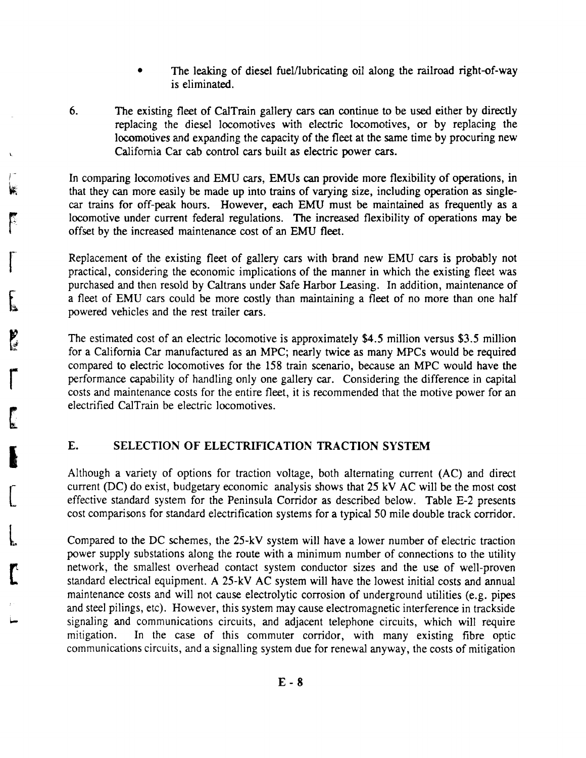- The leaking of diesel fuel/lubricating oil along the railroad right-of-way is eliminated.
- 6. The existing fleet of CalTrain gallery cars can continue to be used either by directly replacing the diesel locomotives with electric locomotives, or by replacing the locomotives and expanding the capacity of the fleet at the same time by procuring new California Car cab control cars built as electric power cars.

In comparing locomotives and EMU cars, EMUs can provide more flexibility of operations, in that they can more easily be made up into trains of varying size, including operation as singlecar trains for off-peak hours. However, each EMU must be maintained as frequently as a locomotive under current federal regulations. The increased flexibility of operations may be offset by the increased maintenance cost of an EMU fleet.

Replacement of the existing fleet of gallery cars with brand new EMU cars is probably not practical, considering the economic implications of the manner in which the existing fleet was purchased and then resold by Caltrans under Safe Harbor Leasing. In addition, maintenance of a fleet of EMU cars could be more costly than maintaining a fleet of no more than one half powered vehicles and the rest trailer cars.

The estimated cost of an electric locomotive is approximately \$4.5 million versus \$3.5 million for a California Car manufactured as an MPC; nearly twice as many MPCs would be required compared to electric locomotives for the 158 train scenario, because an MPC would have the performance capability of handling only one gallery car. Considering the difference in capital costs and maintenance costs for the entire fleet, it is recommended that the motive power for an electrified CalTrain be electric locomotives.

#### E. SELECTION OF ELECTRIFICATION TRACTION SYSTEM

F

 $\begin{bmatrix} 1 \\ 1 \end{bmatrix}$ 

 $\mathbf{f}$ 

**P** 

r

I

 $\bigl[$ 

 $\overline{\mathcal{L}}$ 

 $\mathbf{r}$ 

Although a variety of options for traction voltage, both alternating current (AC) and direct current (DC) do exist, budgetary economic analysis shows that 25 kV AC will be the most cost effective standard system for the Peninsula Corridor as described below. Table E-2 presents cost comparisons for standard electrification systems for a typical 50 mile double track corridor.

Compared to the DC schemes, the 25-kV system will have a lower number of electric traction power supply substations along the route with a minimum number of connections to the utility network, the smallest overhead contact system conductor sizes and the use of well-proven standard electrical equipment. A 25-kV AC system will have the lowest initial costs and annual maintenance costs and will not cause electrolytic corrosion of underground utilities (e.g. pipes and steel pilings, etc). However, this system may cause electromagnetic interference in trackside signaling and communications circuits, and adjacent telephone circuits, which will require mitigation. In the case of this commuter corridor, with many existing fibre optic communications circuits, and a signalling system due for renewal anyway, the costs of mitigation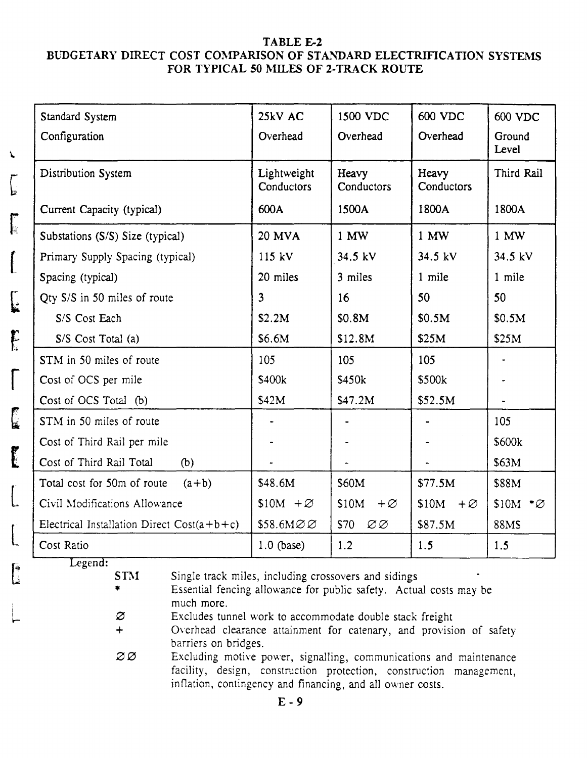#### TABLE E-2 BUDGETARY DIRECT COST COMPARISON OF STANDARD ELECTRIFICATION SYSTEMS FOR TYPICAL 50 MILES OF 2-TRACK ROUTE

| Standard System                              | 25kV AC                   | 1500 VDC                         | 600 VDC              | 600 VDC                |
|----------------------------------------------|---------------------------|----------------------------------|----------------------|------------------------|
| Configuration                                | Overhead                  | Overhead                         | Overhead             | Ground<br>Level        |
| Distribution System                          | Lightweight<br>Conductors | Heavy<br>Conductors              | Heavy<br>Conductors  | Third Rail             |
| Current Capacity (typical)                   | 600A                      | 1500A                            | 1800A                | 1800A                  |
| Substations (S/S) Size (typical)             | <b>20 MVA</b>             | 1 MW                             | 1 MW                 | 1 MW                   |
| Primary Supply Spacing (typical)             | 115 kV                    | 34.5 kV                          | 34.5 kV              | 34.5 kV                |
| Spacing (typical)                            | 20 miles                  | 3 miles                          | 1 mile               | 1 mile                 |
| Qty S/S in 50 miles of route                 | $\overline{\mathbf{3}}$   | 16                               | 50                   | 50                     |
| S/S Cost Each                                | \$2.2M                    | \$0.8M                           | \$0.5M               | \$0.5M                 |
| S/S Cost Total (a)                           | \$6.6M                    | \$12.8M                          | \$25M                | \$25M                  |
| STM in 50 miles of route                     | 105                       | 105                              | 105                  |                        |
| Cost of OCS per mile                         | \$400k                    | \$450k                           | \$500k               |                        |
| Cost of OCS Total (b)                        | \$42M                     | \$47.2M                          | \$52.5M              |                        |
| STM in 50 miles of route                     |                           |                                  |                      | 105                    |
| Cost of Third Rail per mile                  |                           |                                  |                      | \$600k                 |
| Cost of Third Rail Total<br>(b)              |                           |                                  |                      | \$63M                  |
| Total cost for 50m of route<br>$(a+b)$       | \$48.6M                   | \$60M                            | \$77.5M              | \$88M                  |
| Civil Modifications Allowance                | $$10M + \varnothing$      | \$10M<br>$+ \varnothing$         | $$10M + \varnothing$ | $$10M$ * $\varnothing$ |
| Electrical Installation Direct $Cost(a+b+c)$ | \$58.6MØØ                 | \$70<br>$\varnothing\varnothing$ | \$87.5M              | 88M\$                  |
| Cost Ratio                                   | $1.0$ (base)              | 1.2                              | 1.5                  | 1.5                    |

Legend:

**STM** Single track miles, including crossovers and sidings

\* Essential fencing allowance for public safety. Actual costs may be much more.

o Excludes tunnel work to accommodate double stack freight

- + Overhead clearance attainment for catenary, and provision of safety barriers on bridges.
- $\varnothing\varnothing$ Excluding motive power, signalling, communications and maintenance facility, design, construction protection, construction management, inflation, contingency and financing, and all owner costs.

i I ....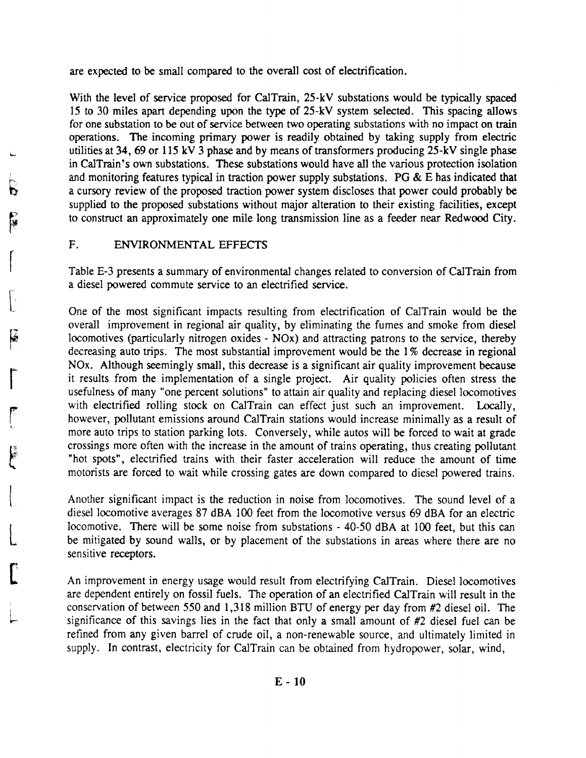are expected to be small compared to the overall cost of electrification.

With the level of service proposed for CalTrain, 25-kV substations would be typically spaced 15 to 30 miles apart depending upon the type of 25-kV system selected. This spacing allows for one substation to be out of service between two operating substations with no impact on train operations. The incoming primary power is readily obtained by taking supply from electric utilities at 34, 69 or 115 kV 3 phase and by means of transformers producing 25-kV single phase in CalTrain's own substations. These substations would have all the various protection isolation and monitoring features typical in traction power supply substations. PG  $\&$  E has indicated that a cursory review of the proposed traction power system discloses that power could probably be supplied to the proposed substations without major alteration to their existing facilities, except to construct an approximately one mile long transmission line as a feeder near Redwood City.

F. ENVIRONMENTAL EFFECTS

P<br>|第一

 $\begin{bmatrix} \phantom{-} \end{bmatrix}$ 

 $\begin{bmatrix} 1 & 1 \\ 1 & 1 \end{bmatrix}$ 

rl.· I

 $\int_0^1$ 

rI

L

Table E-3 presents a summary of environmental changes related to conversion of CalTrain from a diesel powered commute service to an electrified service.

One of the most significant impacts resulting from electrification of CalTrain would be the overall improvement in regional air quality, by eliminating the fumes and smoke from diesel locomotives (particularly nitrogen oxides - NOx) and attracting patrons to the service, thereby decreasing auto trips. The most substantial improvement would be the 1% decrease in regional NOx. Although seemingly small, this decrease is a significant air quality improvement because it results from the implementation of a single project. Air quality policies often stress the usefulness of many "one percent solutions" to attain air quality and replacing diesel locomotives with electrified rolling stock on CalTrain can effect just such an improvement. Locally, however, pollutant emissions around CalTrain stations would increase minimally as a result of more auto trips to station parking lots. Conversely, while autos will be forced to wait at grade crossings more often with the increase in the amount of trains operating, thus creating pollutant "hot spots", electrified trains with their faster acceleration will reduce the amount of time motorists are forced to wait while crossing gates are down compared to diesel powered trains.

Another significant impact is the reduction in noise from locomotives. The sound level of a diesel locomotive averages 87 dBA 100 feet from the locomotive versus 69 dBA for an electric locomotive. There will be some noise from substations - 40-50 dBA at 100 feet, but this can be mitigated by sound walls, or by placement of the substations in areas where there are no sensitive receptors.

An improvement in energy usage would result from electrifying CalTrain. Diesel locomotives are dependent entirely on fossil fuels. The operation of an electrified CalTrain will result in the conservation of between 550 and 1,318 million BTU of energy per day from #2 diesel oil. The significance of this savings lies in the fact that only a small amount of #2 diesel fuel can be refined from any given barrel of crude oil, a non-renewable source, and ultimately limited in supply. In contrast, electricity for CalTrain can be obtained from hydropower, solar, wind,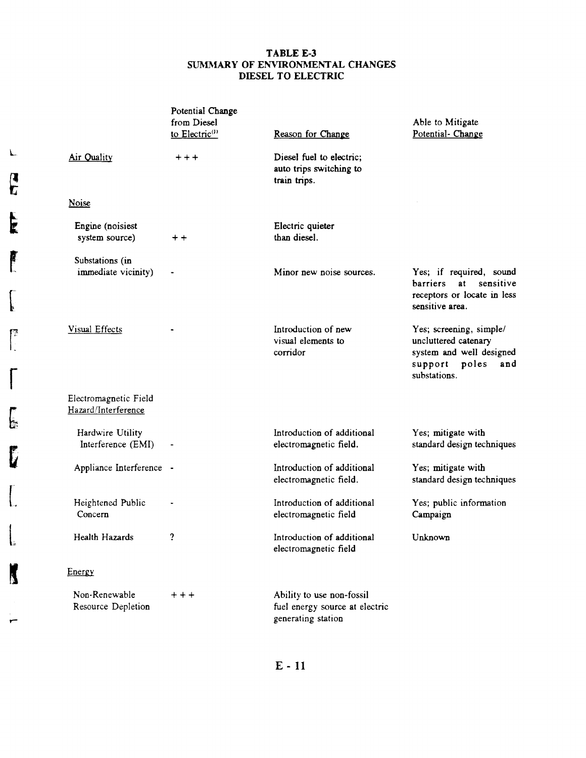#### TABLE E-3 SUMMARY OF ENVIRONMENTAL CHANGES DIESEL TO ELECTRIC

|                                              | Potential Change<br>from Diesel<br>to Electric <sup>(1)</sup> | Reason for Change                                                                 | Able to Mitigate<br>Potential- Change                                                                               |
|----------------------------------------------|---------------------------------------------------------------|-----------------------------------------------------------------------------------|---------------------------------------------------------------------------------------------------------------------|
| Air Quality                                  | $+ + +$                                                       | Diesel fuel to electric;<br>auto trips switching to<br>train trips.               |                                                                                                                     |
| <b>Noise</b>                                 |                                                               |                                                                                   |                                                                                                                     |
| Engine (noisiest<br>system source)           | $+ +$                                                         | Electric quieter<br>than diesel.                                                  |                                                                                                                     |
| Substations (in<br>immediate vicinity)       |                                                               | Minor new noise sources.                                                          | Yes; if required, sound<br>at a<br>sensitive<br><b>barriers</b><br>receptors or locate in less<br>sensitive area.   |
| <b>Visual Effects</b>                        |                                                               | Introduction of new<br>visual elements to<br>corridor                             | Yes; screening, simple/<br>uncluttered catenary<br>system and well designed<br>support poles<br>and<br>substations. |
| Electromagnetic Field<br>Hazard/Interference |                                                               |                                                                                   |                                                                                                                     |
| Hardwire Utility<br>Interference (EMI)       | $\overline{\phantom{a}}$                                      | Introduction of additional<br>electromagnetic field.                              | Yes; mitigate with<br>standard design techniques                                                                    |
| Appliance Interference -                     |                                                               | Introduction of additional<br>electromagnetic field.                              | Yes; mitigate with<br>standard design techniques                                                                    |
| Heightened Public<br>Concern                 |                                                               | Introduction of additional<br>electromagnetic field                               | Yes; public information<br>Campaign                                                                                 |
| Health Hazards                               | 2                                                             | Introduction of additional<br>electromagnetic field                               | Unknown                                                                                                             |
| Energy                                       |                                                               |                                                                                   |                                                                                                                     |
| Non-Renewable<br>Resource Depletion          | $+ + +$                                                       | Ability to use non-fossil<br>fuel energy source at electric<br>generating station |                                                                                                                     |

E - 11

 $\mathbf{r}$ 

L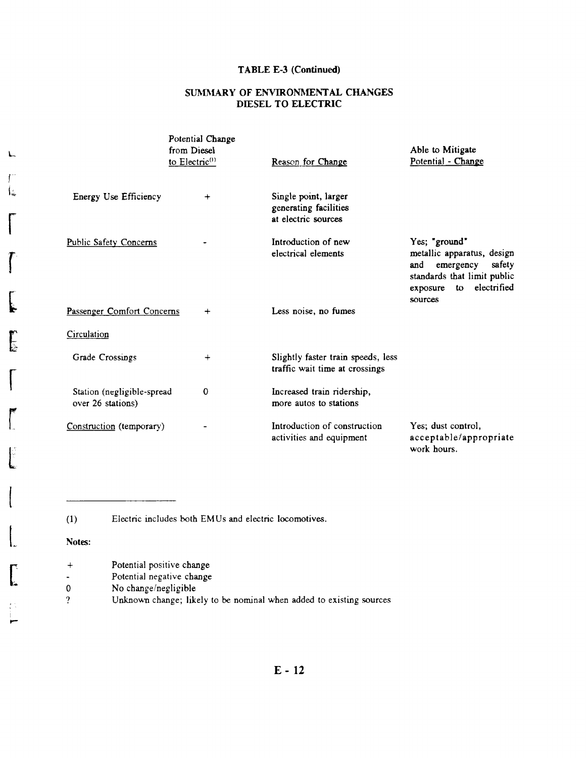#### TABLE E-3 (Continued)

#### SUMMARY OF ENVIRONMENTAL CHANGES DIESEL TO ELECTRIC

|                                                 | Potential Change<br>from Diesel<br>to Electric <sup>(1)</sup> | Reason for Change                                                    | Able to Mitigate<br>Potential - Change                                                                                                               |  |  |
|-------------------------------------------------|---------------------------------------------------------------|----------------------------------------------------------------------|------------------------------------------------------------------------------------------------------------------------------------------------------|--|--|
| Energy Use Efficiency                           | $\ddot{}$                                                     | Single point, larger<br>generating facilities<br>at electric sources |                                                                                                                                                      |  |  |
| <b>Public Safety Concerns</b>                   |                                                               | Introduction of new<br>electrical elements                           | Yes; "ground"<br>metallic apparatus, design<br>and<br>emergency<br>safety<br>standards that limit public<br>electrified<br>exposure<br>to<br>sources |  |  |
| Passenger Comfort Concerns                      | $\ddot{}$                                                     | Less noise, no fumes                                                 |                                                                                                                                                      |  |  |
| Circulation                                     |                                                               |                                                                      |                                                                                                                                                      |  |  |
| Grade Crossings                                 | $\,{}^+$                                                      | Slightly faster train speeds, less<br>traffic wait time at crossings |                                                                                                                                                      |  |  |
| Station (negligible-spread<br>over 26 stations) | $\mathbf 0$                                                   | Increased train ridership,<br>more autos to stations                 |                                                                                                                                                      |  |  |
| Construction (temporary)                        |                                                               | Introduction of construction<br>activities and equipment             | Yes; dust control,<br>acceptable/appropriate<br>work hours.                                                                                          |  |  |

(1) Electric includes both EMUs and electric locomotives.

#### Notes:

L

f l~

r

 $\int$ 

 $\sqrt{2}$ 

 $\mathbf{r}$ 

 $\prod_{i=1}^n$ 

 $\overline{\phantom{a}}$ 

..-

- $\begin{bmatrix} 1 & 1 \\ 1 & 1 \end{bmatrix}$ Potential positive change
	- Potential negative change
	- 0 No change/negligible
	- ? Unknown change; likely to be nominal when added to existing sources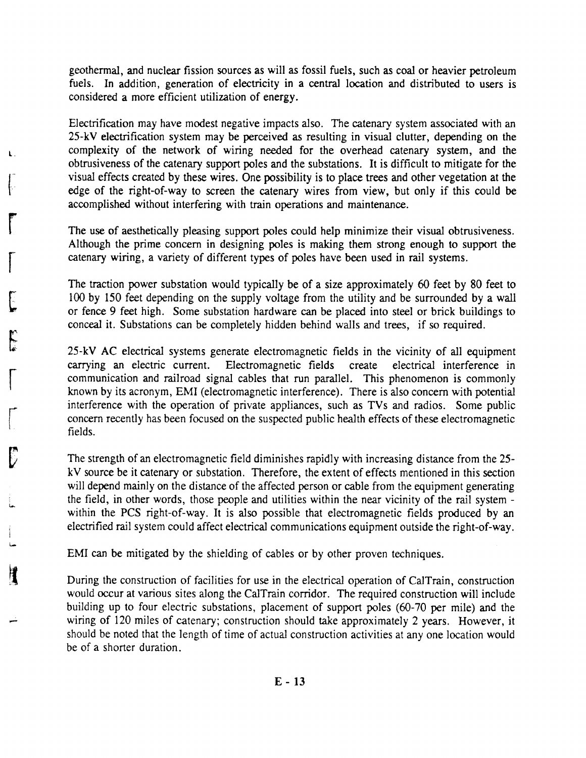geothermal, and nuclear fission sources as will as fossil fuels, such as coal or heavier petroleum fuels. In addition, generation of electricity in a central location and distributed to users is considered a more efficient utilization of energy.

Electrification may have modest negative impacts also. The catenary system associated with an 25-kV electrification system may be perceived as resulting in visual clutter, depending on the complexity of the network of wiring needed for the overhead catenary system, and the obtrusiveness of the catenary support poles and the substations. It is difficult to mitigate for the visual effects created by these wires. One possibility is to place trees and other vegetation at the edge of the right-of-way to screen the catenary wires from view, but only if this could be accomplished without interfering with train operations and maintenance.

The use of aesthetically pleasing support poles could help minimize their visual obtrusiveness. Although the prime concern in designing poles is making them strong enough to support the catenary wiring, a variety of different types of poles have been used in rail systems.

The traction power substation would typically be of a size approximately 60 feet by 80 feet to 100 by 150 feet depending on the supply voltage from the utility and be surrounded by a wall or fence 9 feet high. Some substation hardware can be placed into steel or brick buildings to conceal it. Substations can be completely hidden behind walls and trees, if so required.

25-kV AC electrical systems generate electromagnetic fields in the vicinity of all equipment carrying an electric current. Electromagnetic fields create electrical interference in communication and railroad signal cables that run parallel. This phenomenon is commonly known by its acronym, EMI (electromagnetic interference). There is also concern with potential interference with the operation of private appliances, such as TVs and radios. Some public concern recently has been focused on the suspected public health effects of these electromagnetic fields.

The strength of an electromagnetic field diminishes rapidly with increasing distance from the 25 kV source be it catenary or substation. Therefore, the extent of effects mentioned in this section will depend mainly on the distance of the affected person or cable from the equipment generating the field, in other words, those people and utilities within the near vicinity of the rail system within the PCS right-of-way. It is also possible that electromagnetic fields produced by an electrified rail system could affect electrical communications equipment outside the right-of-way.

EMI can be mitigated by the shielding of cables or by other proven techniques.

During the construction of facilities for use in the electrical operation of CalTrain, construction would occur at various sites along the CalTrain corridor. The required construction will include building up to four electric substations, placement of support poles (60-70 per mile) and the wiring of 120 miles of catenary; construction should take approximately 2 years. However, it should be noted that the length of time of actual construction activities at anyone location would be of a shorter duration.

.....

 $\int_{\Gamma}$ 

ι.

r

 $\int_0^1$ 

[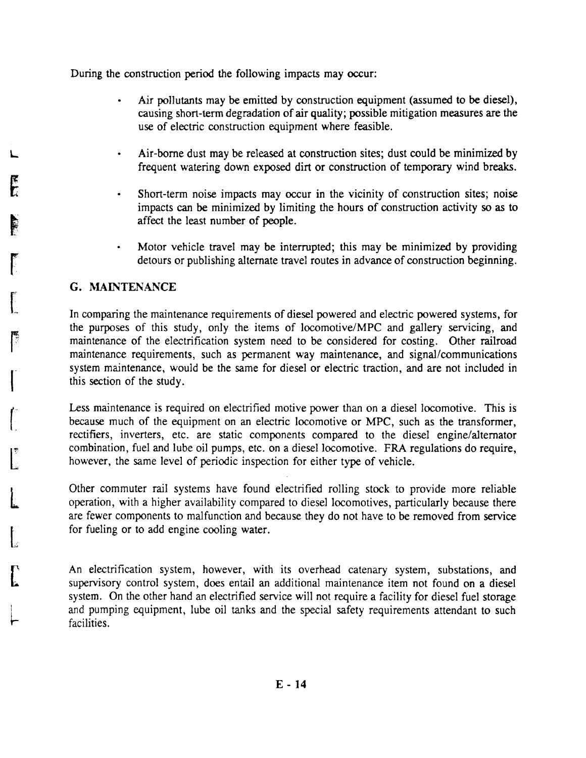During the construction period the following impacts may occur:

- Air pollutants may be emitted by construction equipment (assumed to be diesel), causing short-term degradation of air quality; possible mitigation measures are the use of electric construction equipment where feasible.
- Air-borne dust may be released at construction sites; dust could be minimized by frequent watering down exposed dirt or construction of temporary wind breaks.
- Short-term noise impacts may occur in the vicinity of construction sites; noise impacts can be minimized by limiting the hours of construction activity so as to affect the least number of people.
- Motor vehicle travel may be interrupted; this may be minimized by providing detours or publishing alternate travel routes in advance of construction beginning.

#### G. MAINTENANCE

In comparing the maintenance requirements of diesel powered and electric powered systems, for the purposes of this study, only the items of locomotive/MPC and gallery servicing, and maintenance of the electrification system need to be considered for costing. Other railroad maintenance requirements, such as permanent way maintenance, and signal/communications system maintenance, would be the same for diesel or electric traction, and are not included in this section of the study.

Less maintenance is required on electrified motive power than on a diesel locomotive. This is because much of the equipment on an electric locomotive or MPC, such as the transformer, rectifiers, inverters, etc. are static components compared to the diesel engine/alternator combination, fuel and lube oil pumps, etc. on a diesel locomotive. FRA regulations do require, however, the same level of periodic inspection for either type of vehicle.

Other commuter rail systems have found electrified rolling stock to provide more reliable operation, with a higher availability compared to diesel locomotives, particularly because there are fewer components to malfunction and because they do not have to be removed from service for fueling or to add engine cooling water.

An electrification system, however, with its overhead catenary system, substations, and supervisory control system, does entail an additional maintenance item not found on a diesel system. On the other hand an electrified service will not require a facility for diesel fuel storage and pumping equipment, lube oil tanks and the special safety requirements attendant to such facilities.

L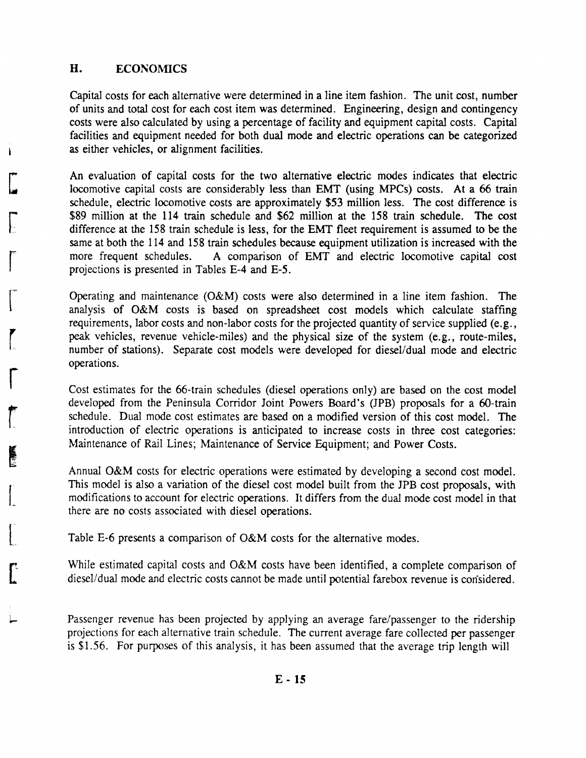#### H. ECONOMICS

Capital costs for each alternative were determined in a line item fashion. The unit cost, number of units and total cost for each cost item was determined. Engineering, design and contingency costs were also calculated by using a percentage of facility and equipment capital costs. Capital facilities and equipment needed for both dual mode and electric operations can be categorized as either vehicles, or alignment facilities.

An evaluation of capital costs for the two alternative electric modes indicates that electric locomotive capital costs are considerably less than EMT (using MPCs) costs. At a 66 train schedule, electric locomotive costs are approximately \$53 million less. The cost difference is \$89 million at the 114 train schedule and \$62 million at the 158 train schedule. The cost difference at the 158 train schedule is less, for the EMT fleet requirement is assumed to be the same at both the 114 and 158 train schedules because equipment utilization is increased with the more frequent schedules. A comparison of EMT and electric locomotive capital cost projections is presented in Tables E-4 and E-5.

Operating and maintenance (O&M) costs were also determined in a line item fashion. The analysis of O&M costs is based on spreadsheet cost models which calculate staffing requirements, labor costs and non-labor costs for the projected quantity of service supplied (e.g., peak vehicles, revenue vehicle-miles) and the physical size of the system (e.g., route-miles, number of stations). Separate cost models were developed for diesel/dual mode and electric operations.

Cost estimates for the 66-train schedules (diesel operations only) are based on the cost model developed from the Peninsula Corridor Joint Powers Board's (JPB) proposals for a 6O-train schedule. Dual mode cost estimates are based on a modified version of this cost model. The introduction of electric operations is anticipated to increase costs in three cost categories: Maintenance of Rail Lines; Maintenance of Service Equipment; and Power Costs.

Annual O&M costs for electric operations were estimated by developing a second cost model. This model is also a variation of the diesel cost model built from the JPB cost proposals, with modifications to account for electric operations. It differs from the dual mode cost model in that there are no costs associated with diesel operations.

Table E-6 presents a comparison of O&M costs for the alternative modes.

While estimated capital costs and O&M costs have been identified, a complete comparison of diesel/dual mode and electric costs cannot be made until potential farebox revenue is considered.

Passenger revenue has been projected by applying an average fare/passenger to the ridership projections for each alternative train schedule. The current average fare collected per passenger is \$1.56. For purposes of this analysis, it has been assumed that the average trip length will

[

**c** 

[

r

r~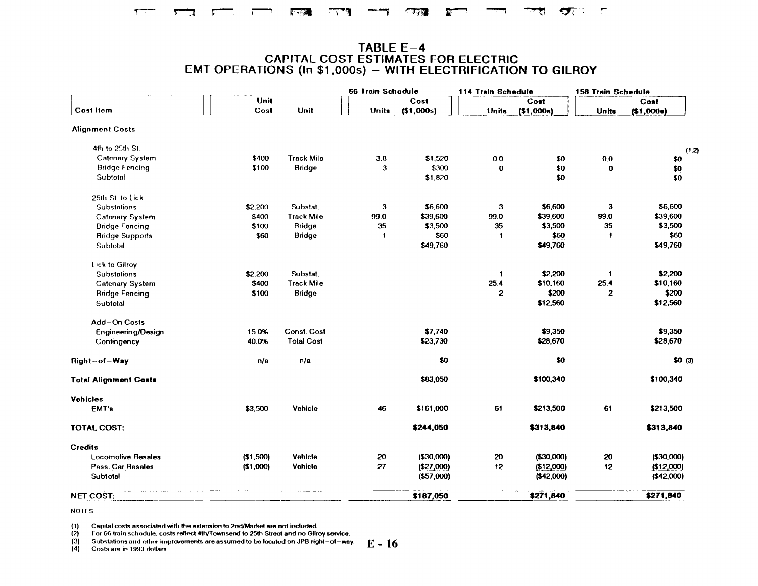### TABLE E-4<br>CAPITAL COST ESTIMATES FOR ELECTRIC<br>EMT OPERATIONS (In \$1,000s) - WITH ELECTRIFICATION TO GILROY

|                              |           |                    | 66 Train Schedule |             | 114 Train Schedule |             | 158 Train Schedule |             |
|------------------------------|-----------|--------------------|-------------------|-------------|--------------------|-------------|--------------------|-------------|
|                              | Unit      |                    |                   | Cost        |                    | Cost        |                    | Cost        |
| <b>Cost Item</b>             | Cost      | Unit               | <b>Units</b>      | (\$1,000s)  | <b>Units</b>       | (\$1,000s)  | <b>Units</b>       | (\$1,000s)  |
| <b>Alignment Costs</b>       |           |                    |                   |             |                    |             |                    |             |
| 4th to 25th St.              |           |                    |                   |             |                    |             |                    | (1, 2)      |
| <b>Catenary System</b>       | \$400     | <b>Track Mile</b>  | 3.8               | \$1,520     | 0.0                | \$0         | 0.0                | \$0         |
| <b>Bridge Fencing</b>        | \$100     | Bridge             | 3                 | \$300       | $\bf{0}$           | \$0         | $\mathbf o$        | \$0         |
| Subtotal                     |           |                    |                   | \$1,820     |                    | \$0         |                    | \$0         |
| 25th St. to Lick             |           |                    |                   |             |                    |             |                    |             |
| <b>Substations</b>           | \$2,200   | Substat.           | 3                 | \$6,600     | 3                  | \$6,600     | 3                  | \$6,600     |
| <b>Catenary System</b>       | \$400     | <b>Track Mile</b>  | 99.0              | \$39,600    | 99.0               | \$39,600    | 99.0               | \$39,600    |
| <b>Bridge Fencing</b>        | \$100     | Bridge             | 35                | \$3,500     | 35                 | \$3,500     | 35                 | \$3,500     |
| <b>Bridge Supports</b>       | \$60      | <b>Bridge</b>      | $\mathbf{1}$      | \$60        | 1                  | \$60        | 1                  | \$60        |
| Subtotal                     |           |                    |                   | \$49,760    |                    | \$49,760    |                    | \$49,760    |
| <b>Lick to Gilroy</b>        |           |                    |                   |             |                    |             |                    |             |
| <b>Substations</b>           | \$2,200   | Substat.           |                   |             | $\mathbf{1}$       | \$2 200     | $\mathbf{1}$       | \$2,200     |
| <b>Catenary System</b>       | \$400     | <b>Track Mile</b>  |                   |             | 25.4               | \$10,160    | 25.4               | \$10,160    |
| <b>Bridge Fencing</b>        | \$100     | <b>Bridge</b>      |                   |             | 2                  | \$200       | 2                  | \$200       |
| Subtotal                     |           |                    |                   |             |                    | \$12,560    |                    | \$12,560    |
| Add-On Costs                 |           |                    |                   |             |                    |             |                    |             |
| Engineering/Design           | 15.0%     | <b>Const. Cost</b> |                   | \$7,740     |                    | \$9,350     |                    | \$9,350     |
| Contingency                  | 40.0%     | <b>Total Cost</b>  |                   | \$23,730    |                    | \$28,670    |                    | \$28,670    |
| Right-of-Way                 | n/a       | n/a                |                   | \$0         |                    | \$0         |                    | \$0(3)      |
| <b>Total Alignment Costs</b> |           |                    |                   | \$83,050    |                    | \$100,340   |                    | \$100,340   |
| <b>Vehicles</b>              |           |                    |                   |             |                    |             |                    |             |
| EMT's                        | \$3,500   | Vehicle            | 46                | \$161,000   | 61                 | \$213,500   | 61                 | \$213,500   |
| <b>TOTAL COST:</b>           |           |                    |                   | \$244,050   |                    | \$313,840   |                    | \$313,840   |
| <b>Credits</b>               |           |                    |                   |             |                    |             |                    |             |
| <b>Locomotive Resales</b>    | (\$1,500) | Vehicle            | 20                | ( \$30,000] | 20                 | ( \$30,000] | 20                 | ( \$30,000) |
| Pass. Car Resales            | (\$1,000) | Vehicle            | 27                | ( \$27,000) | 12                 | (\$12,000)  | 12                 | (\$12,000)  |
| Subtotal                     |           |                    |                   | ( \$57,000) |                    | (\$42,000)  |                    | (\$42,000)  |
| <b>NET COST:</b>             |           |                    |                   | \$187,050   |                    | \$271,840   |                    | \$271,840   |

**NOTES:** 

Capital costs associated with the extension to 2nd/Market are not included.  $(1)$ 

 $(2)$ For 66 train schedule, costs reflect 4th/Townsend to 25th Street and no Gilroy service.

Substations and other improvements are assumed to be located on JPB right-of-way.  $E = 16$  $(3)$ 

 $(4)$ Costs are in 1993 dollars.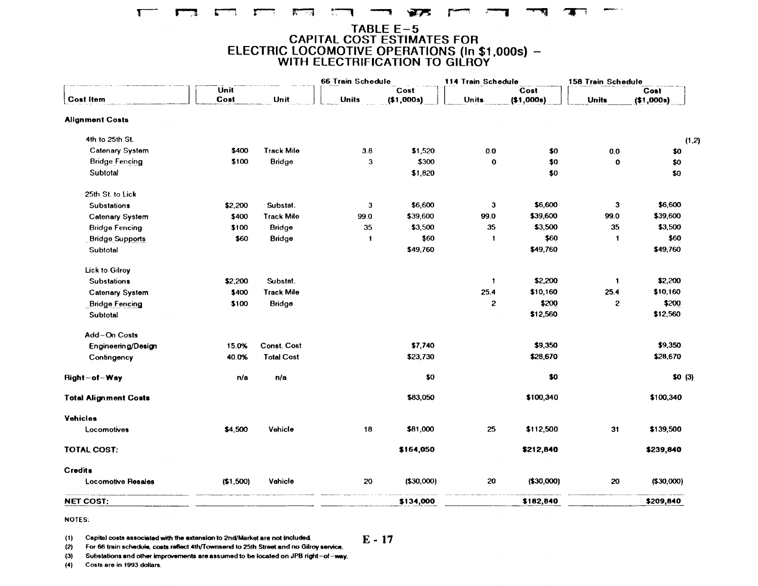#### $\mathbf{T}$ **KILLER** سيستع  $\mathbf{F}$

## TABLE E-5<br>CAPITAL COST ESTIMATES FOR<br>ELECTRIC LOCOMOTIVE OPERATIONS (In \$1,000s) –<br>WITH ELECTRIFICATION TO GILROY

|                              |              |                    | 66 Train Schedule |                    | 114 Train Schedule |                  | 158 Train Schedule |                  |
|------------------------------|--------------|--------------------|-------------------|--------------------|--------------------|------------------|--------------------|------------------|
| <b>Cost Item</b>             | Unit<br>Cost | Unit               | <b>Units</b>      | Cost<br>(\$1,000s) | <b>Units</b>       | Cost<br>(1,000s) | <b>Units</b>       | Cost<br>(1,000s) |
| <b>Alignment Costs</b>       |              |                    |                   |                    |                    |                  |                    |                  |
| 4th to 25th St.              |              |                    |                   |                    |                    |                  |                    | (1,2)            |
| <b>Catenary System</b>       | \$400        | <b>Track Mile</b>  | 3.8               | \$1,520            | 0.0                | \$0              | $0.0\,$            | \$0              |
| <b>Bridge Fencing</b>        | \$100        | <b>Bridge</b>      | $\mathbf{3}$      | \$300              | $\mathbf 0$        | \$0              | $\mathbf 0$        | $$0$             |
| Subtotal                     |              |                    |                   | \$1,820            |                    | \$0              |                    | \$0              |
| 25th St. to Lick             |              |                    |                   |                    |                    |                  |                    |                  |
| <b>Substations</b>           | \$2,200      | Substat.           | 3                 | \$6,600            | 3                  | \$6,600          | 3                  | \$6,600          |
| <b>Catenary System</b>       | \$400        | <b>Track Mile</b>  | 99.0              | \$39,600           | 99.0               | \$39,600         | 99.0               | \$39,600         |
| <b>Bridge Fencing</b>        | \$100        | Bridge             | 35                | \$3,500            | 35                 | \$3,500          | 35                 | \$3,500          |
| <b>Bridge Supports</b>       | \$60         | <b>Bridge</b>      | $\mathbf{1}$      | \$60               | $\blacksquare$     | \$60             | $\mathbf{1}$       | \$60             |
| Subtotal                     |              |                    |                   | \$49,760           |                    | \$49,760         |                    | \$49,760         |
| Lick to Gilroy               |              |                    |                   |                    |                    |                  |                    |                  |
| <b>Substations</b>           | \$2,200      | Substat.           |                   |                    | $\mathbf{1}$       | \$2,200          | $\mathbf{1}$       | \$2,200          |
| <b>Catenary System</b>       | \$400        | <b>Track Mile</b>  |                   |                    | 25.4               | \$10,160         | 25.4               | \$10,160         |
| <b>Bridge Fencing</b>        | \$100        | Bridge             |                   |                    | $\mathbf{z}$       | \$200            | $\mathbf{z}$       | \$200            |
| Subtotal                     |              |                    |                   |                    |                    | \$12,560         |                    | \$12,560         |
| Add-On Costs                 |              |                    |                   |                    |                    |                  |                    |                  |
| Engineering/Design           | 15.0%        | <b>Const. Cost</b> |                   | \$7,740            |                    | \$9,350          |                    | \$9,350          |
| Contingency                  | 40.0%        | <b>Total Cost</b>  |                   | \$23,730           |                    | \$28,670         |                    | \$28,670         |
| Right-of-Way                 | n/a          | n/a                |                   | \$0                |                    | \$0              |                    | \$0(3)           |
| <b>Total Alignment Costs</b> |              |                    |                   | \$83,050           |                    | \$100,340        |                    | \$100,340        |
| <b>Vehicles</b>              |              |                    |                   |                    |                    |                  |                    |                  |
| Locomotives                  | \$4,500      | Vehicle            | 18                | \$81,000           | 25                 | \$112,500        | 31                 | \$139,500        |
| <b>TOTAL COST:</b>           |              |                    |                   | \$164,050          |                    | \$212,840        |                    | \$239,840        |
| <b>Credits</b>               |              |                    |                   |                    |                    |                  |                    |                  |
| Locomotive Resales           | (\$1,500)    | Vehicle            | 20                | ( \$30,000]        | 20                 | ( \$30,000)      | 20                 | (\$30,000)       |
| <b>NET COST:</b>             |              |                    |                   | \$134,000          |                    | \$182,840        |                    | \$209,840        |

NOTES:

 $(1)$ Capital costs associated with the extension to 2nd/Market are not included

For 66 train schedule, costs reflect 4th/Townsend to 25th Street and no Gilroy service.  $(2)$ 

Substations and other improvements are assumed to be located on JPB right-of-way.  $(3)$ 

 $(4)$ Costs are in 1993 dollars.  $E - 17$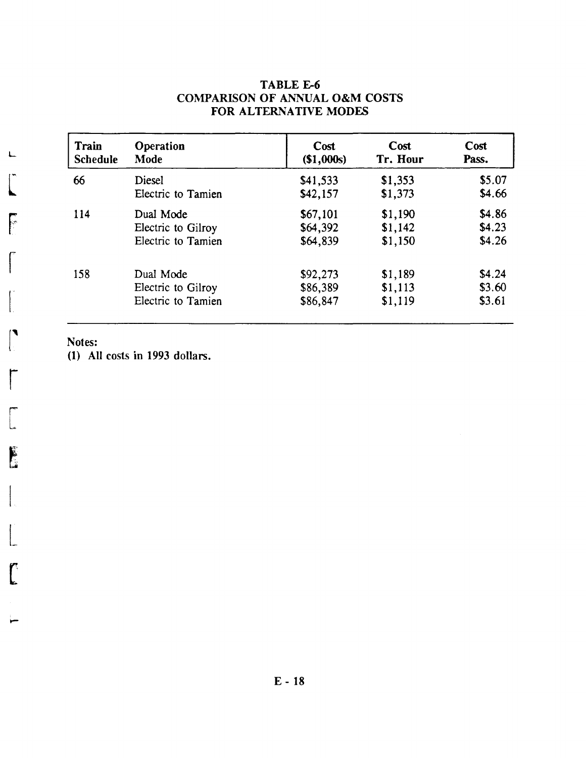| Train           | Operation          | Cost       | Cost     | Cost   |
|-----------------|--------------------|------------|----------|--------|
| <b>Schedule</b> | Mode               | (\$1,000s) | Tr. Hour | Pass.  |
| 66              | <b>Diesel</b>      | \$41,533   | \$1,353  | \$5.07 |
|                 | Electric to Tamien | \$42,157   | \$1,373  | \$4.66 |
| 114             | Dual Mode          | \$67,101   | \$1,190  | \$4.86 |
|                 | Electric to Gilroy | \$64,392   | \$1,142  | \$4.23 |
|                 | Electric to Tamien | \$64,839   | \$1,150  | \$4.26 |
| 158             | Dual Mode          | \$92,273   | \$1,189  | \$4.24 |
|                 | Electric to Gilroy | \$86,389   | \$1,113  | \$3.60 |
|                 | Electric to Tamien | \$86,847   | \$1,119  | \$3.61 |

#### TABLE E-6 COMPARISON OF ANNUAL O&M COSTS FOR ALTERNATIVE MODES

Notes:

(1) All costs in 1993 dollars.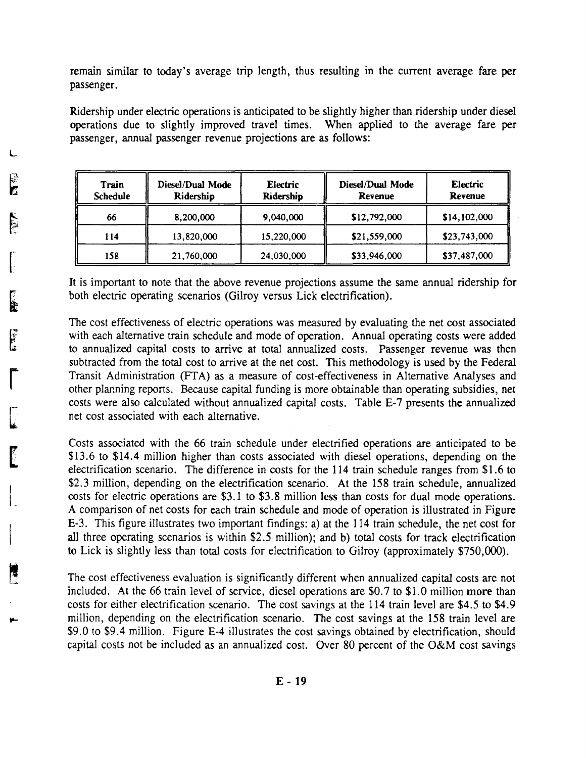remain similar to today's average trip length, thus resulting in the current average fare per passenger.

Ridership under electric operations is anticipated to be slightly higher than ridership under diesel operations due to slightly improved travel times. When applied to the average fare per passenger, annual passenger revenue projections are as follows:

| Train<br><b>Schedule</b> | Diesel/Dual Mode<br>Electric<br>Ridership<br>Ridership |            | <b>Diesel/Dual Mode</b><br><b>Revenue</b> | Electric<br>Revenue |  |
|--------------------------|--------------------------------------------------------|------------|-------------------------------------------|---------------------|--|
| 66                       | 8,200,000                                              | 9,040,000  | \$12,792,000                              | \$14,102,000        |  |
| 114                      | 13,820,000                                             | 15,220,000 | \$21,559,000                              | \$23,743,000        |  |
| 158                      | 21,760,000                                             | 24,030,000 | \$33,946,000                              | \$37,487,000        |  |

It is important to note that the above revenue projections assume the same annual ridership for both electric operating scenarios (Gilroy versus Lick electrification).

The cost effectiveness of electric operations was measured by evaluating the net cost associated with each alternative train schedule and mode of operation. Annual operating costs were added to annualized capital costs to arrive at total annualized costs. Passenger revenue was then subtracted from the total cost to arrive at the net cost. This methodology is used by the Federal Transit Administration (PTA) as a measure of cost-effectiveness in Alternative Analyses and other planning reports. Because capital funding is more obtainable than operating subsidies, net costs were also calculated without annualized capital costs. Table £-7 presents the annualized net cost associated with each alternative.

Costs associated with the 66 train schedule under electrified operations are anticipated to be \$13.6 to \$14.4 million higher than costs associated with diesel operations, depending on the electrification scenario. The difference in costs for the 114 train schedule ranges from \$1.6 to \$2.3 million, depending on the electrification scenario. At the 158 train schedule, annualized costs for electric operations are \$3.1 to \$3.8 million less than costs for dual mode operations. A comparison of net costs for each train schedule and mode of operation is illustrated in Figure £-3. This figure illustrates two important findings: a) at the 114 train schedule, the net cost for all three operating scenarios is within \$2.5 million); and b) total costs for track electrification to Lick is slightly less than total costs for electrification to Gilroy (approximately \$750,000).

The cost effectiveness evaluation is significantly different when annualized capital costs are not included. At the 66 train level of service, diesel operations are \$0.7 to \$1.0 million more than costs for either electrification scenario. The cost savings at the 114 train level are \$4.5 to \$4.9 million, depending on the electrification scenario. The cost savings at the 158 train level are \$9.0 to \$9.4 million. Figure £-4 illustrates the cost savings obtained by electrification, should capital costs not be included as an annualized cost. Over 80 percent of the O&M cost savings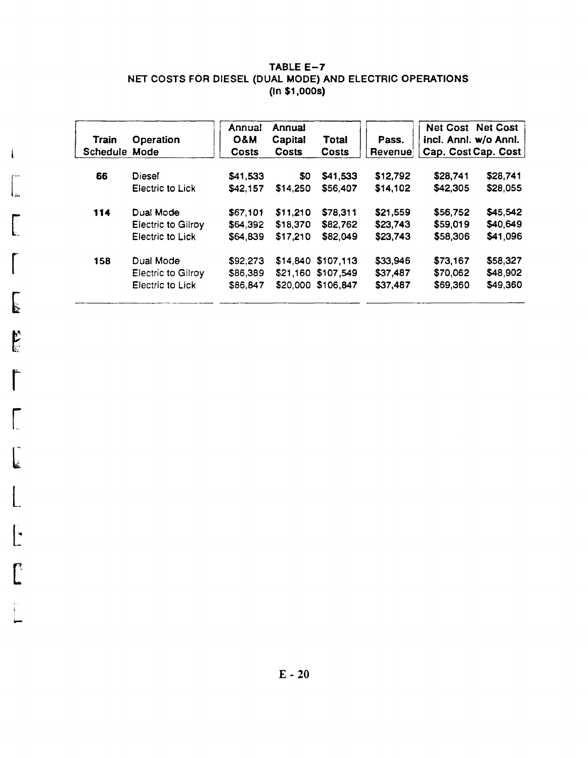#### TABLE  $E - 7$ NET COSTS FOR DIESEL (DUAL MODE) AND ELECTRIC OPERATIONS (In \$1,OOOs)

| <b>Train</b><br>Schedule Mode | Operation                 | Annual<br>O&M<br><b>Costs</b> | Annual<br>Capital<br><b>Costs</b> | Total<br><b>Costs</b> | Pass.<br><b>Revenuel</b> | incl. Annl. w/o Annl. | <b>Net Cost Net Cost</b><br>Cap. Cost Cap. Cost |
|-------------------------------|---------------------------|-------------------------------|-----------------------------------|-----------------------|--------------------------|-----------------------|-------------------------------------------------|
| 66                            | <b>Diesel</b>             | \$41,533                      | 80                                | \$41,533              | \$12,792                 | \$28,741              | \$28,741                                        |
|                               | Electric to Lick          | \$42,157                      | \$14,250                          | \$56,407              | \$14,102                 | \$42,305              | \$28,055                                        |
| 114                           | Dual Mode                 | \$67,101                      | \$11,210                          | \$78,311              | \$21,559                 | \$56,752              | \$45,542                                        |
|                               | <b>Electric to Gilroy</b> | \$64,392                      | \$18,370                          | \$82,762              | \$23,743                 | \$59,019              | \$40,649                                        |
|                               | Electric to Lick          | \$64,839                      | \$17,210                          | \$82,049              | \$23,743                 | \$58,306              | \$41,096                                        |
| 158                           | Dual Mode                 | \$92,273                      |                                   | \$14,840 \$107,113    | \$33,946                 | \$73,167              | \$58,327                                        |
|                               | <b>Electric to Gilroy</b> | \$86,389                      |                                   | \$21,160 \$107,549    | \$37,487                 | \$70,062              | \$48,902                                        |
|                               | Electric to Lick          | \$86,847                      |                                   | \$20,000 \$106,847    | \$37,487                 | \$69,360              | \$49,360                                        |
|                               |                           |                               |                                   |                       |                          |                       |                                                 |

ا<br>نقه ا --

 $\mathbf{I}$ 

[

 $\mathcal{I}$ 

 $~\mathbf{r}$ 

 $\sqrt{2}$ 

r

[

 $\begin{bmatrix} 1 \\ 1 \\ 2 \end{bmatrix}$ 

L

l:

 $\left[\begin{array}{c} 1 \\ 1 \end{array}\right]$ 

I ....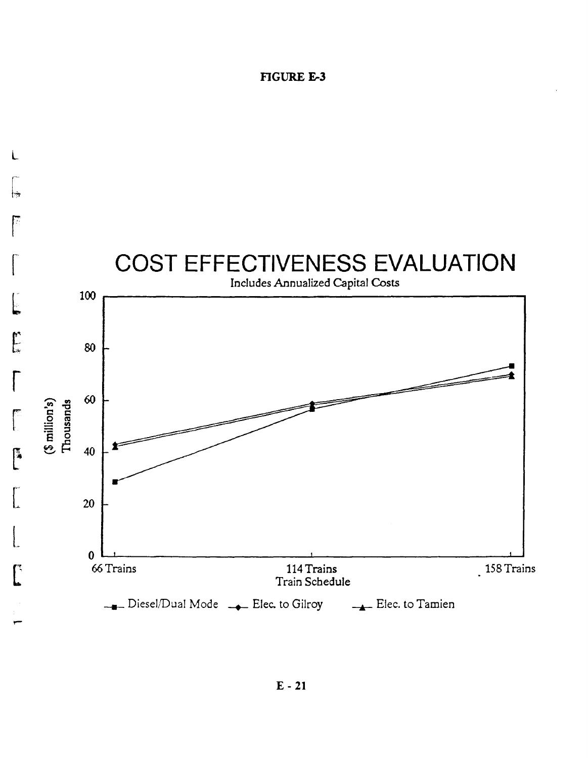#### **FIGURE E-3**

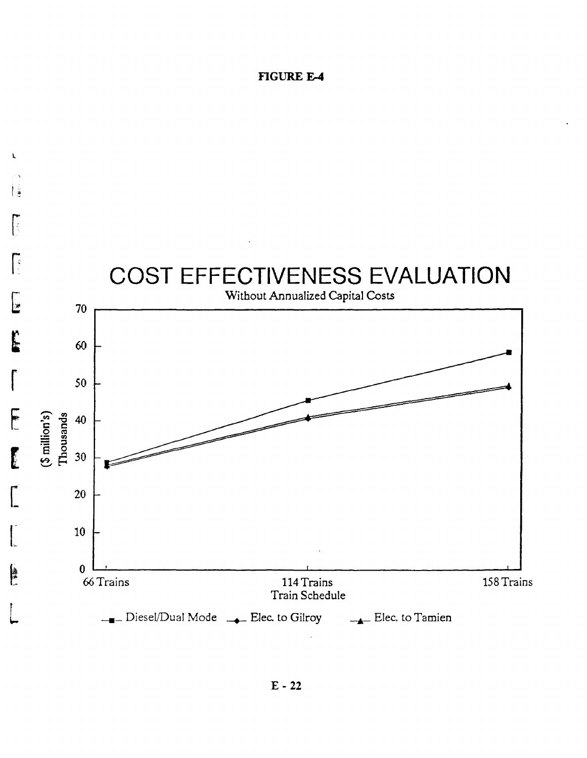#### **FIGURE E-4**

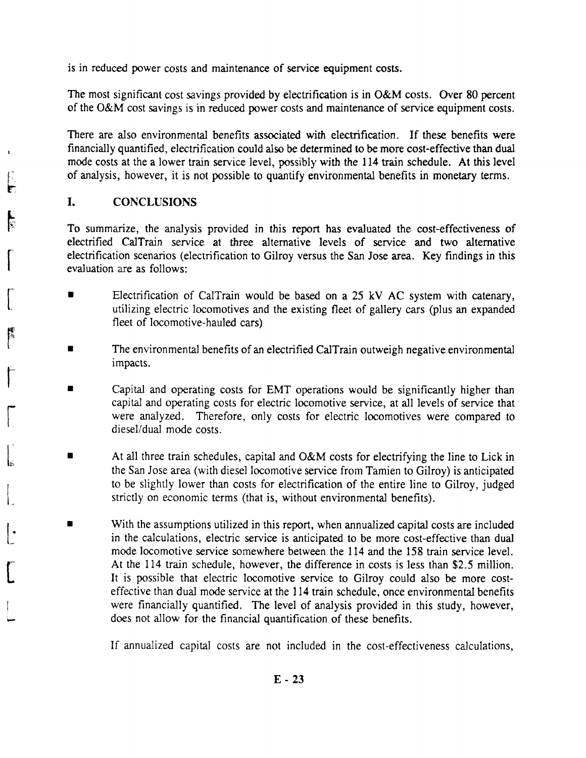is in reduced power costs and maintenance of service equipment costs.

The most significant cost savings provided by electrification is in O&M costs. Over 80 percent of the O&M cost savings is in reduced power costs and maintenance of service equipment costs.

There are also environmental benefits associated with electrification. If these benefits were financially quantified, electrification could also be determined to be more cost-effective than dual mode costs at the a lower train service level, possibly with the 114 train schedule. At this level of analysis, however, it is not possible to quantify environmental benefits in monetary terms.

#### **I.** CONCLUSIONS

 $\int$ 

IF.

ि

 $\int_0^\infty$ 

re de la propieta de la propieta de la propieta de la propieta de la propieta de la propieta de la propieta de<br>La propieta de la propieta de la propieta de la propieta de la propieta de la propieta de la propieta de la pr<br>

 $\int$ 

[

 $\begin{bmatrix} 1 \\ 1 \\ 1 \end{bmatrix}$ 

I  $\mathsf{l}_-$ 

L·

[

To summarize, the analysis provided in this report has evaluated the cost-effectiveness of electrified CalTrain service at three alternative levels of service and two alternative electrification scenarios (electrification to Gilroy versus the San Jose area. Key findings in this evaluation are as follows:

- Electrification of CalTrain would be based on a 25 kV AC system with catenary, utilizing electric locomotives and the existing fleet of gallery cars (plus an expanded fleet of locomotive-hauled cars)
- The environmental benefits of an electrified CalTrain outweigh negative environmental impacts.
- Capital and operating costs for EMT operations would be significantly higher than capital and operating costs for electric locomotive service, at all levels of service that were analyzed. Therefore, only costs for electric locomotives were compared to diesel/dual mode costs.
- At all three train schedules, capital and O&M costs for electrifying the line to Lick in the San Jose area (with diesel locomotive service from Tamien to Gilroy) is anticipated to be slightly lower than costs for electrification of the entire line to Gilroy, judged strictly on economic terms (that is, without environmental benefits).
- With the assumptions utilized in this report, when annualized capital costs are included in the calculations, electric service is anticipated to be more cost-effective than dual mode locomotive service somewhere between the 114 and the 158 train service level. At the 114 train schedule, however, the difference in costs is less than \$2.5 million. It is possible that electric locomotive service to Gilroy could also be more costeffective than dual mode service at the 114 train schedule, once environmental benefits were financially quantified. The level of analysis provided in this study, however, does not allow for the financial quantification of these benefits.

If annualized capital costs are not included in the cost-effectiveness calculations,